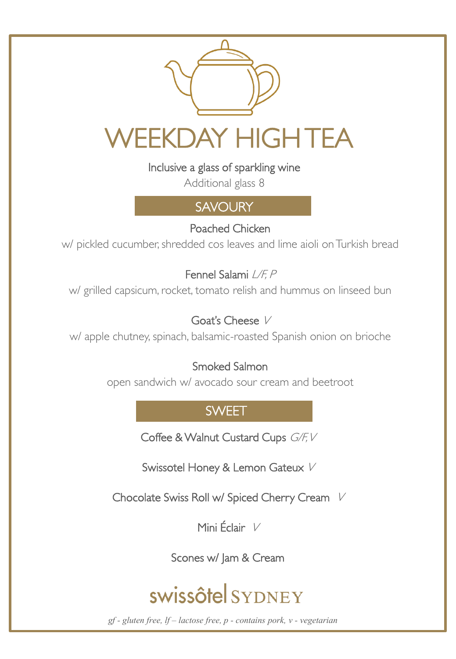

Inclusive a glass of sparkling wine

Additional glass 8

# **SAVOURY**

Poached Chicken

w/ pickled cucumber, shredded cos leaves and lime aioli on Turkish bread

Fennel Salami L/F, P

w/ grilled capsicum, rocket, tomato relish and hummus on linseed bun

### Goat's Cheese <sup>V</sup>

w/ apple chutney, spinach, balsamic-roasted Spanish onion on brioche

### Smoked Salmon

open sandwich w/ avocado sour cream and beetroot

# **SWEET**

Coffee & Walnut Custard Cups G/F, V

Swissotel Honey & Lemon Gateux V

Chocolate Swiss Roll w/ Spiced Cherry Cream V

Mini Éclair <sup>V</sup>

Scones w/ Jam & Cream

# swissôtel SYDNEY

*gf - gluten free, lf – lactose free, p - contains pork, v - vegetarian*